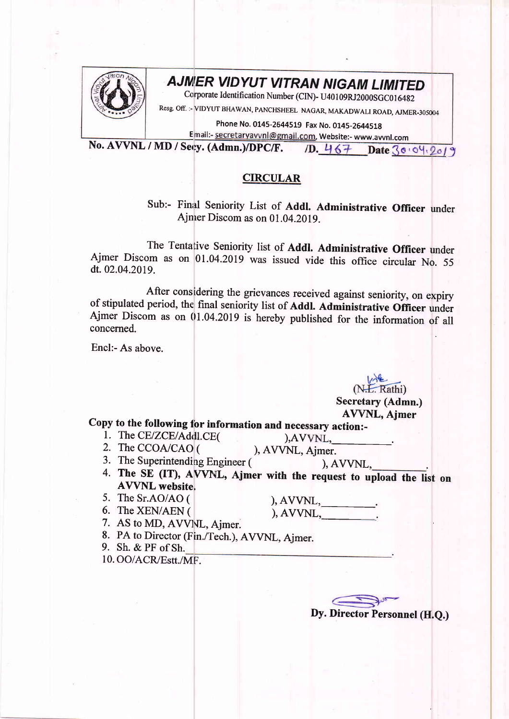

## **AJMER VIDYUT VITRAN NIGAM LIMITED**

Corporate Identification Number (CIN)- U40109RJ2000SGC016482

Resg. off. :- vIDYUT BFIAWAN, PANCHSHEEL NAGAR, MAKADWALI ROAD, AJMER-305004

Phone No. 0145-2644519 Fax No. 0145-2644518

E Website:- www.awnl.com

No. AVVNL / MD / Secy. (Admn.)/DPC/F. Date 30:04.2019

## **CIRCULAR**

Sub:- Final Seniority List of Addl. Administrative officer under Ajmer Discom as on 01.04.2019.

The Tentative Seniority list of Addl. Administrative Officer under Ajmer Discom as on 01.04.2019 was issued vide this office circular No. <sup>55</sup> dt.02.04.2019.

After considering the grievances received against seniority, on expiry<br>of stipulated period, the final seniority list of **Addl. Administrative Officer** under<br>Ajmer Discom as on 01.04.2019 is hereby published for the inform concerned.

Encl:- As above.

(N.L. Rathi) Secretary (Admn.) AVVNL, Ajmer

## copy to the following for information and necessary action:-<br>
1. The CE/ZCE/Addl.CE( ),AVVNL,<br>
2. The CCOA/CAO (), AVVNL, Ajmer.<br>
3. The Superintending Engineer (), AVVNL

- -
	-
- 3. The Superintending Engineer (
(a), AVVNL,  $\frac{1}{2}$ .<br>
4. The SE (IT), AVVNL, Ajmer with the request to upload the list on AVVNL website.
- 5. The Sr.AO/AO ( $\rm{6.}$  The XEN/AEN (

, <u>. . . . . . . . .</u> .

- 
- $AVVNL, \qquad \qquad \_ \_ \qquad$
- 7. AS to MD, AVVNL, Ajmer.
- 8. PA to Director (Fin./Tech.), AVVNL, Ajmer.

9. Sh. & PF of Sh.

10. OO/ACR/Estt./MF.

Dy. Director Personnel (H.Q.)